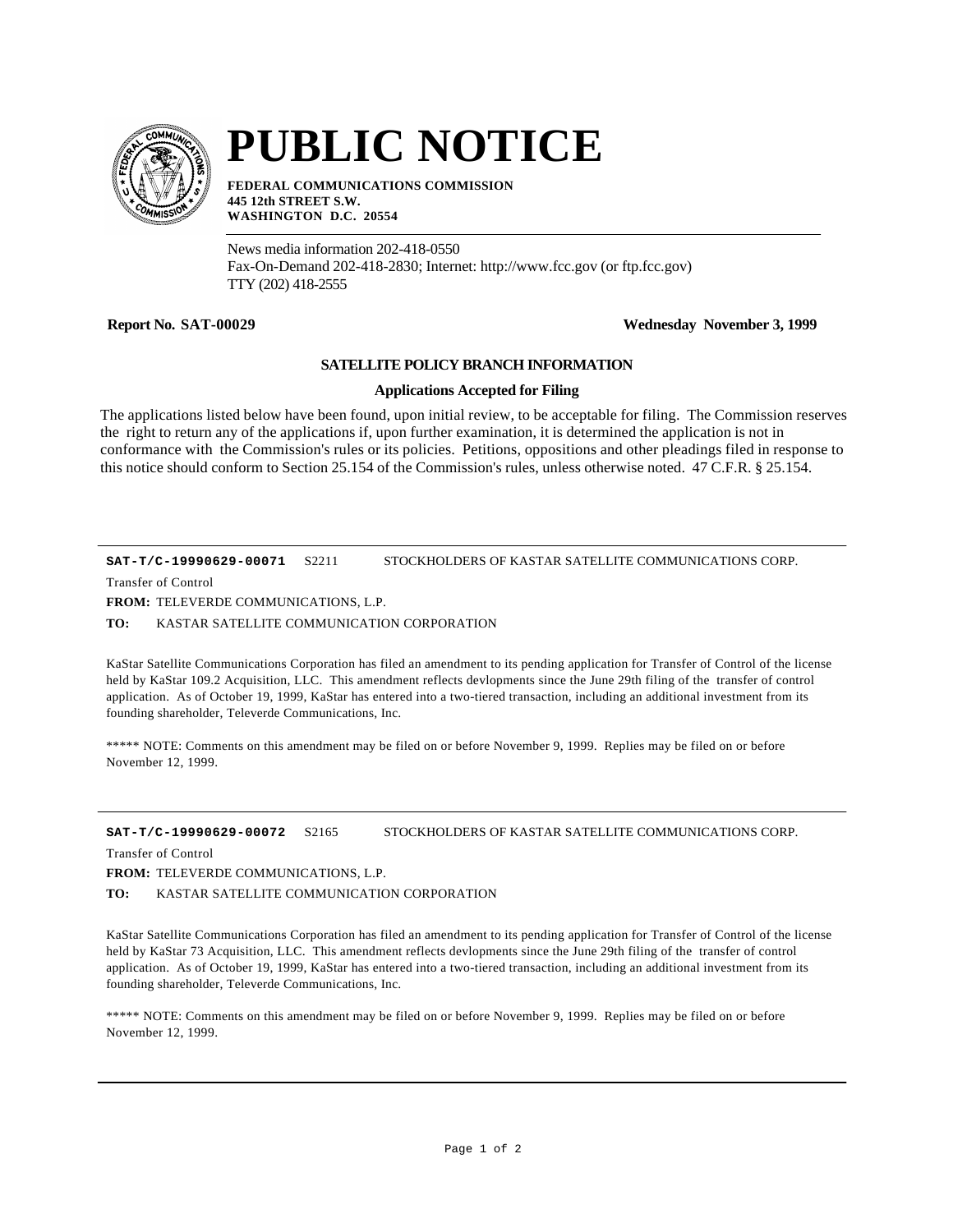

## **PUBLIC NOTICE**

**FEDERAL COMMUNICATIONS COMMISSION 445 12th STREET S.W. WASHINGTON D.C. 20554**

News media information 202-418-0550 Fax-On-Demand 202-418-2830; Internet: http://www.fcc.gov (or ftp.fcc.gov) TTY (202) 418-2555

**Report No. SAT-00029 Wednesday November 3, 1999**

## **SATELLITE POLICY BRANCH INFORMATION**

## **Applications Accepted for Filing**

The applications listed below have been found, upon initial review, to be acceptable for filing. The Commission reserves the right to return any of the applications if, upon further examination, it is determined the application is not in conformance with the Commission's rules or its policies. Petitions, oppositions and other pleadings filed in response to this notice should conform to Section 25.154 of the Commission's rules, unless otherwise noted. 47 C.F.R. § 25.154.

**SAT-T/C-19990629-00071** S2211 STOCKHOLDERS OF KASTAR SATELLITE COMMUNICATIONS CORP.

Transfer of Control

**FROM:** TELEVERDE COMMUNICATIONS, L.P.

**TO:** KASTAR SATELLITE COMMUNICATION CORPORATION

KaStar Satellite Communications Corporation has filed an amendment to its pending application for Transfer of Control of the license held by KaStar 109.2 Acquisition, LLC. This amendment reflects devlopments since the June 29th filing of the transfer of control application. As of October 19, 1999, KaStar has entered into a two-tiered transaction, including an additional investment from its founding shareholder, Televerde Communications, Inc.

\*\*\*\*\* NOTE: Comments on this amendment may be filed on or before November 9, 1999. Replies may be filed on or before November 12, 1999.

**SAT-T/C-19990629-00072** S2165 STOCKHOLDERS OF KASTAR SATELLITE COMMUNICATIONS CORP.

Transfer of Control

**FROM:** TELEVERDE COMMUNICATIONS, L.P.

**TO:** KASTAR SATELLITE COMMUNICATION CORPORATION

KaStar Satellite Communications Corporation has filed an amendment to its pending application for Transfer of Control of the license held by KaStar 73 Acquisition, LLC. This amendment reflects devlopments since the June 29th filing of the transfer of control application. As of October 19, 1999, KaStar has entered into a two-tiered transaction, including an additional investment from its founding shareholder, Televerde Communications, Inc.

\*\*\*\*\* NOTE: Comments on this amendment may be filed on or before November 9, 1999. Replies may be filed on or before November 12, 1999.